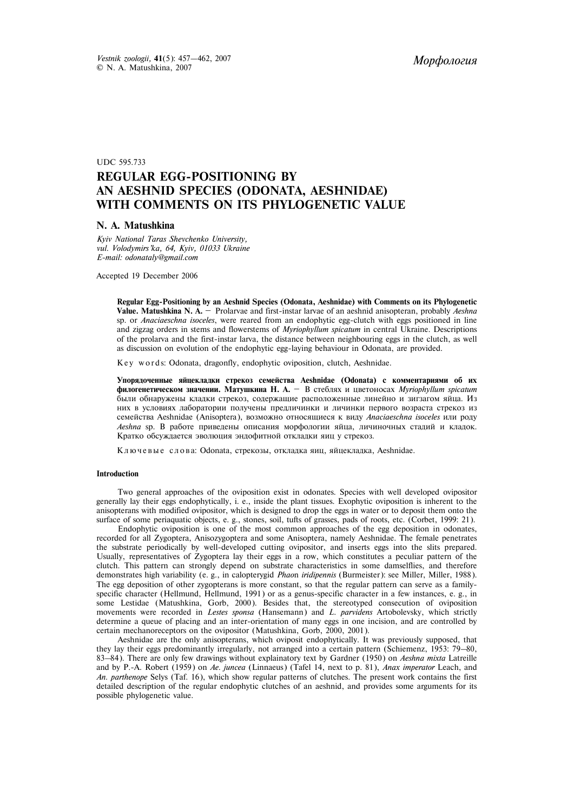UDC 595.733

# **REGULAR EGG-POSITIONING BY AN AESHNID SPECIES (ODONATA, AESHNIDAE) WITH COMMENTS ON ITS PHYLOGENETIC VALUE**

### **N. A. Matushkina**

*Kyiv National Taras Shevchenko University, vul. Volodymirs'ka, 64, Kyiv, 01033 Ukraine E-mail: odonataly@gmail.com*

Accepted 19 December 2006

**Regular Egg-Positioning by an Aeshnid Species (Odonata, Aeshnidae) with Comments on its Phylogenetic Value. Matushkina N. A.** — Prolarvae and first-instar larvae of an aeshnid anisopteran, probably *Aeshna* sp. or *Anaciaeschna isoceles*, were reared from an endophytic egg-clutch with eggs positioned in line and zigzag orders in stems and flowerstems of *Myriophyllum spicatum* in central Ukraine. Descriptions of the prolarva and the first-instar larva, the distance between neighbouring eggs in the clutch, as well as discussion on evolution of the endophytic egg-laying behaviour in Odonata, are provided.

Key words: Odonata, dragonfly, endophytic oviposition, clutch, Aeshnidae.

Упорядоченные яйцекладки стрекоз семейства Aeshnidae (Odonata) с комментариями об их **филогенетическом значении. Матушкина Н. А.** — В стеблях и цветоносах *Myriophyllum spicatum* были обнаружены кладки стрекоз, содержащие расположенные линейно и зигзагом яйца. Из них в условиях лаборатории получены предличинки и личинки первого возраста стрекоз из семейства Aeshnidae (Anisoptera), возможно относящиеся к виду Anaciaeschna isoceles или роду *Aeshna* sp. В работе приведены описания морфологии яйца, личиночных стадий и кладок. Кратко обсуждается эволюция эндофитной откладки яиц у стрекоз.

Ключевые слова: Odonata, стрекозы, откладка яиц, яйцекладка, Aeshnidae.

#### **Introduction**

Two general approaches of the oviposition exist in odonates. Species with well developed ovipositor generally lay their eggs endophytically, i. e., inside the plant tissues. Exophytic oviposition is inherent to the anisopterans with modified ovipositor, which is designed to drop the eggs in water or to deposit them onto the surface of some periaquatic objects, e. g., stones, soil, tufts of grasses, pads of roots, etc. (Corbet, 1999: 21).

Endophytic oviposition is one of the most common approaches of the egg deposition in odonates, recorded for all Zygoptera, Anisozygoptera and some Anisoptera, namely Aeshnidae. The female penetrates the substrate periodically by well-developed cutting ovipositor, and inserts eggs into the slits prepared. Usually, representatives of Zygoptera lay their eggs in a row, which constitutes a peculiar pattern of the clutch. This pattern can strongly depend on substrate characteristics in some damselflies, and therefore demonstrates high variability (e. g., in calopterygid *Phao*n *iridipennis* (Burmeister): see Miller, Miller, 1988). The egg deposition of other zygopterans is more constant, so that the regular pattern can serve as a familyspecific character (Hellmund, Hellmund, 1991) or as a genus-specific character in a few instances, e. g., in some Lestidae (Matushkina, Gorb, 2000). Besides that, the stereotyped consecution of oviposition movements were recorded in *Lestes sponsa* (Hansemann) and *L. parvidens* Artobolevsky, which strictly determine a queue of placing and an inter-orientation of many eggs in one incision, and are controlled by certain mechanoreceptors on the ovipositor (Matushkina, Gorb, 2000, 2001).

Aeshnidae are the only anisopterans, which oviposit endophytically. It was previously supposed, that they lay their eggs predominantly irregularly, not arranged into a certain pattern (Schiemenz, 1953: 79–80, 83–84). There are only few drawings without explainatory text by Gardner (1950) on *Aeshna mixta* Latreille and by P.-A. Robert (1959) on *Ae. juncea* (Linnaeus) (Tafel 14, next to p. 81), *Anax imperator* Leach, and *An. parthenope* Selys (Taf. 16), which show regular patterns of clutches. The present work contains the first detailed description of the regular endophytic clutches of an aeshnid, and provides some arguments for its possible phylogenetic value.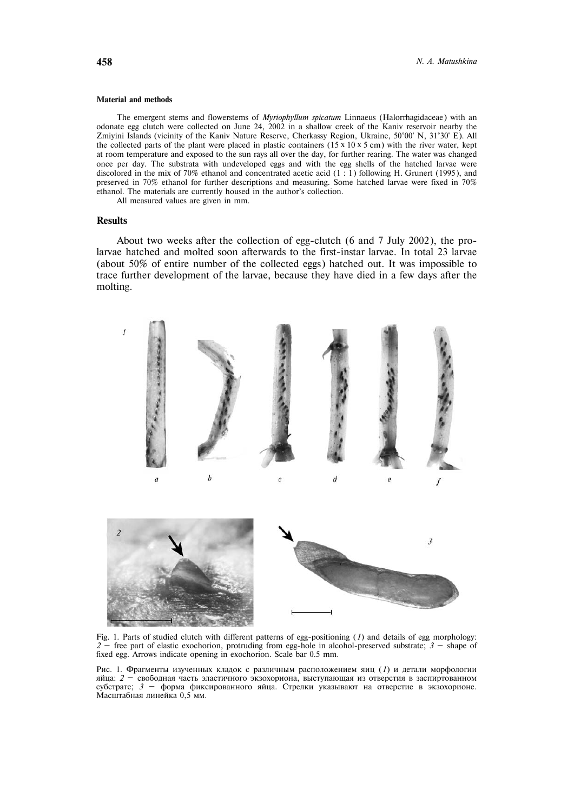#### **Material and methods**

The emergent stems and flowerstems of *Myriophyllum spicatum* Linnaeus (Halorrhagidaceae) with an odonate egg clutch were collected on June 24, 2002 in a shallow creek of the Kaniv reservoir nearby the Zmiyini Islands (vicinity of the Kaniv Nature Reserve, Cherkassy Region, Ukraine, 50°00' N, 31°30' E). All the collected parts of the plant were placed in plastic containers (15  $\times$  10  $\times$  5 cm) with the river water, kept at room temperature and exposed to the sun rays all over the day, for further rearing. The water was changed once per day. The substrata with undeveloped eggs and with the egg shells of the hatched larvae were discolored in the mix of 70% ethanol and concentrated acetic acid (1 : 1) following H. Grunert (1995), and preserved in 70% ethanol for further descriptions and measuring. Some hatched larvae were fixed in 70% ethanol. The materials are currently housed in the author's collection.

All measured values are given in mm.

#### **Results**

About two weeks after the collection of egg-clutch (6 and 7 July 2002), the prolarvae hatched and molted soon afterwards to the first-instar larvae. In total 23 larvae (about 50% of entire number of the collected eggs) hatched out. It was impossible to trace further development of the larvae, because they have died in a few days after the molting.



Fig. 1. Parts of studied clutch with different patterns of egg-positioning (*1*) and details of egg morphology: *2 —* free part of elastic exochorion, protruding from egg-hole in alcohol-preserved substrate; *3 —* shape of fixed egg. Arrows indicate opening in exochorion. Scale bar 0.5 mm.

Рис. 1. Фрагменты изученных кладок с различным расположением яиц (1) и детали морфологии яйца: 2 <sup>—</sup> свободная часть эластичного экзохориона, выступающая из отверстия в заспиртованном субстрате; *3 — форма фиксированного яйца*. Стрелки указывают на отверстие в экзохорионе. Масштабная линейка 0,5 мм.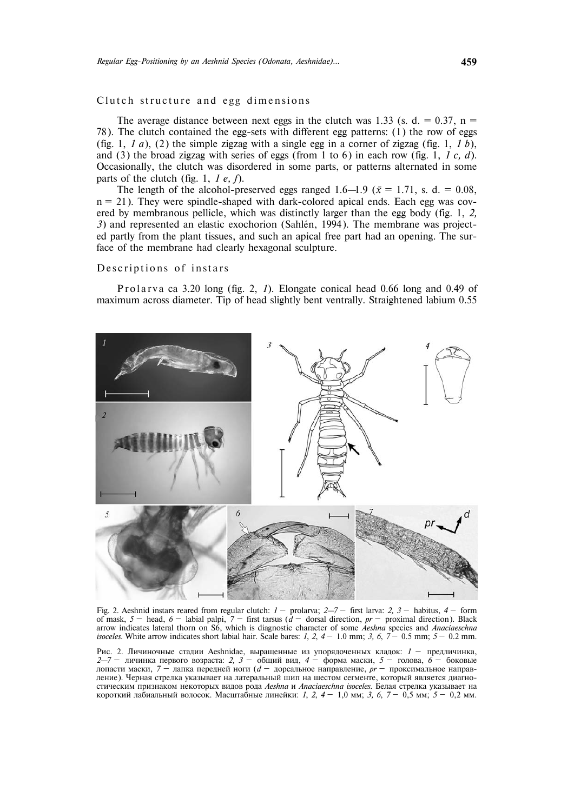# Clutch structure and egg dimensions

The average distance between next eggs in the clutch was 1.33 (s. d. =  $0.37$ , n = 78). The clutch contained the egg-sets with different egg patterns: (1) the row of eggs (fig. 1,  $1 \, a$ ), (2) the simple zigzag with a single egg in a corner of zigzag (fig. 1,  $1 \, b$ ), and (3) the broad zigzag with series of eggs (from 1 to 6) in each row (fig. 1, *1 c, d*). Occasionally, the clutch was disordered in some parts, or patterns alternated in some parts of the clutch (fig. 1, *1 e, f*).

The length of the alcohol-preserved eggs ranged 1.6–1.9 ( $\bar{x}$  = 1.71, s. d. = 0.08,  $n = 21$ ). They were spindle-shaped with dark-colored apical ends. Each egg was covered by membranous pellicle, which was distinctly larger than the egg body (fig. 1, *2, 3*) and represented an elastic exochorion (Sahlén, 1994). The membrane was projected partly from the plant tissues, and such an apical free part had an opening. The surface of the membrane had clearly hexagonal sculpture.

### Descriptions of instars

P rolarva ca 3.20 long (fig. 2, 1). Elongate conical head 0.66 long and 0.49 of maximum across diameter. Tip of head slightly bent ventrally. Straightened labium 0.55



Fig. 2. Aeshnid instars reared from regular clutch: *1* — prolarva; *2–7* — first larva: *2, 3* — habitus, *4* — form of mask,  $5 -$  head,  $6 -$  labial palpi,  $7 -$  first tarsus  $(d -$  dorsal direction,  $pr -$  proximal direction). Black arrow indicates lateral thorn on S6, which is diagnostic character of some *Aeshna* species and *Anaciaeschna isoceles*. White arrow indicates short labial hair. Scale bares: *1*, *2*, *4* — 1.0 mm; *3, 6*, *7* — 0.5 mm; *5* — 0.2 mm.

Рис. 2. Личиночные стадии Aeshnidae, выращенные из упорядоченных кладок: *1* — предличинка, *2–7* — личинка первого возраста: *2, 3* — общий вид, *4* — форма маски, 5 — голова, *6* — боковые  $\frac{2}{\pi}$  ,  $\frac{3}{\pi}$   $\frac{3}{\pi}$   $\frac{1}{\pi}$   $\frac{1}{\pi}$   $\frac{2}{\pi}$   $\frac{5}{\pi}$   $\frac{5}{\pi}$ ,  $\frac{5}{\pi}$   $\frac{5}{\pi}$   $\frac{5}{\pi}$   $\frac{5}{\pi}$   $\frac{5}{\pi}$   $\frac{5}{\pi}$   $\frac{5}{\pi}$   $\frac{5}{\pi}$   $\frac{5}{\pi}$   $\frac{5}{\pi}$   $\frac{5}{\pi}$   $\frac{5}{\pi$ ление). Черная стрелка указывает на латеральный шип на шестом сегменте, который является диагностическим признаком некоторых видов рода Aeshna и Anaciaeschna isoceles. Белая стрелка указывает на короткий лабиальный волосок. Масштабные линейки: *1, 2, 4* — 1,0 мм; 3, 6, 7 — 0,5 мм; 5 — 0,2 мм.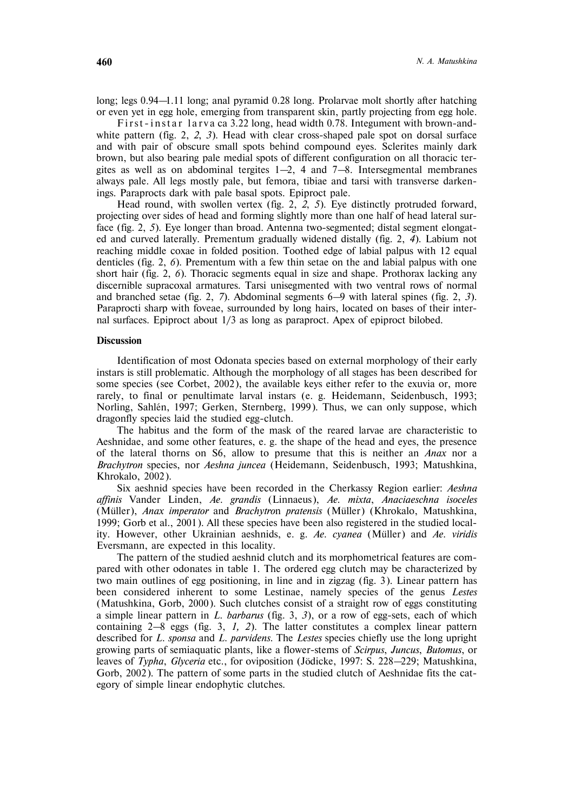long; legs 0.94–1.11 long; anal pyramid 0.28 long. Prolarvae molt shortly after hatching or even yet in egg hole, emerging from transparent skin, partly projecting from egg hole.

First-instar larva ca 3.22 long, head width 0.78. Integument with brown-andwhite pattern (fig. 2, *2*, *3*). Head with clear cross-shaped pale spot on dorsal surface and with pair of obscure small spots behind compound eyes. Sclerites mainly dark brown, but also bearing pale medial spots of different configuration on all thoracic tergites as well as on abdominal tergites  $1-2$ , 4 and  $7-8$ . Intersegmental membranes always pale. All legs mostly pale, but femora, tibiae and tarsi with transverse darkenings. Paraprocts dark with pale basal spots. Epiproct pale.

Head round, with swollen vertex (fig. 2, *2*, *5*). Eye distinctly protruded forward, projecting over sides of head and forming slightly more than one half of head lateral surface (fig. 2, *5*). Eye longer than broad. Antenna two-segmented; distal segment elongated and curved laterally. Prementum gradually widened distally (fig. 2, *4*). Labium not reaching middle coxae in folded position. Toothed edge of labial palpus with 12 equal denticles (fig. 2, *6*). Prementum with a few thin setae on the and labial palpus with one short hair (fig. 2, *6*). Thoracic segments equal in size and shape. Prothorax lacking any discernible supracoxal armatures. Tarsi unisegmented with two ventral rows of normal and branched setae (fig. 2, *7*). Abdominal segments 6–9 with lateral spines (fig. 2, *3*). Paraprocti sharp with foveae, surrounded by long hairs, located on bases of their internal surfaces. Epiproct about 1/3 as long as paraproct. Apex of epiproct bilobed.

## **Discussion**

Identification of most Odonata species based on external morphology of their early instars is still problematic. Although the morphology of all stages has been described for some species (see Corbet, 2002), the available keys either refer to the exuvia or, more rarely, to final or penultimate larval instars (e. g. Heidemann, Seidenbusch, 1993; Norling, Sahlén, 1997; Gerken, Sternberg, 1999). Thus, we can only suppose, which dragonfly species laid the studied egg-clutch.

The habitus and the form of the mask of the reared larvae are characteristic to Aeshnidae, and some other features, e. g. the shape of the head and eyes, the presence of the lateral thorns on S6, allow to presume that this is neither an *Anax* nor a *Brachytron* species, nor *Aeshna juncea* (Heidemann, Seidenbusch, 1993; Matushkina, Khrokalo, 2002).

Six aeshnid species have been recorded in the Cherkassy Region earlier: *Aeshna affinis* Vander Linden, *Ae*. *grandis* (Linnaeus), *Ae. mixta*, *Anaciaeschna isoceles* (Müller), *Anax imperator* and *Brachytron pratensis* (Müller) (Khrokalo, Matushkina, 1999; Gorb et al., 2001). All these species have been also registered in the studied locality. However, other Ukrainian aeshnids, e. g. Ae. cyanea (Müller) and Ae. viridis Eversmann, are expected in this locality.

The pattern of the studied aeshnid clutch and its morphometrical features are compared with other odonates in table 1. The ordered egg clutch may be characterized by two main outlines of egg positioning, in line and in zigzag (fig. 3). Linear pattern has been considered inherent to some Lestinae, namely species of the genus *Lestes* (Matushkina, Gorb, 2000). Such clutches consist of a straight row of eggs constituting a simple linear pattern in *L. barbarus* (fig. 3, *3*), or a row of egg-sets, each of which containing 2–8 eggs (fig. 3, *1, 2*). The latter constitutes a complex linear pattern described for *L. sponsa* and *L. parvidens*. The *Lestes* species chiefly use the long upright growing parts of semiaquatic plants, like a flower-stems of *Scirpus*, *Juncus*, *Butomus*, or leaves of *Typha, Glyceria* etc., for oviposition (Jödicke, 1997: S. 228–229; Matushkina, Gorb, 2002). The pattern of some parts in the studied clutch of Aeshnidae fits the category of simple linear endophytic clutches.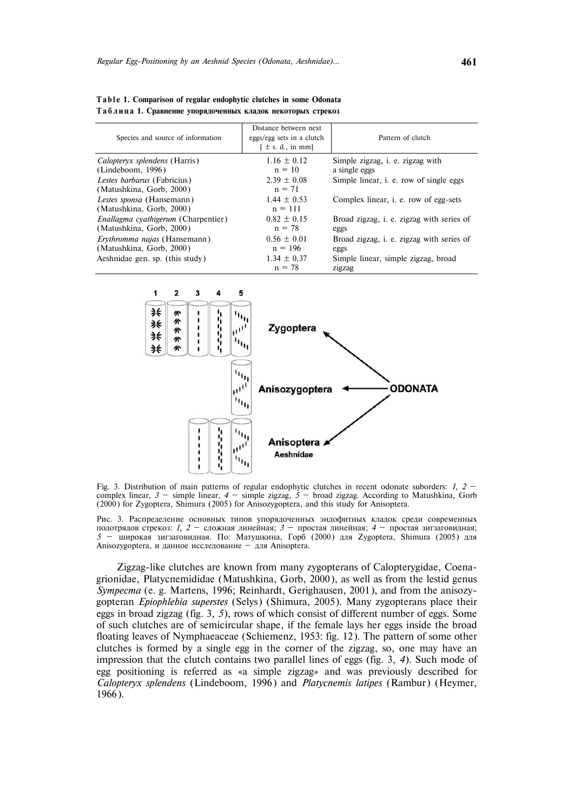| Species and source of information                                      | Distance between next<br>eggs/egg sets in a clutch<br>$\lceil \pm s$ . d., in mm] | Pattern of clutch                                        |
|------------------------------------------------------------------------|-----------------------------------------------------------------------------------|----------------------------------------------------------|
| <i>Calopteryx splendens</i> (Harris)<br>(Lindeboom, 1996)              | $1.16 \pm 0.12$<br>$n = 10$                                                       | Simple zigzag, <i>i. e.</i> zigzag with<br>a single eggs |
| Lestes barbarus (Fabricius)<br>(Matushkina, Gorb, 2000)                | $2.39 \pm 0.08$<br>$n = 71$                                                       | Simple linear, <i>i.</i> e. row of single eggs           |
| Lestes sponsa (Hansemann)<br>(Matushkina, Gorb, 2000)                  | $1.44 \pm 0.53$<br>$n = 111$                                                      | Complex linear, <i>i. e.</i> row of egg-sets             |
| <i>Enallagma cyathigerum</i> (Charpentier)<br>(Matushkina, Gorb, 2000) | $0.82 \pm 0.15$<br>$n = 78$                                                       | Broad zigzag, i. e. zigzag with series of<br>eggs        |
| <i>Ervthromma najas</i> (Hansemann)<br>(Matushkina, Gorb, 2000)        | $0.56 \pm 0.01$<br>$n = 196$                                                      | Broad zigzag, i. e. zigzag with series of<br>eggs        |
| Aeshnidae gen. sp. (this study)                                        | $1.34 \pm 0.37$<br>$n = 78$                                                       | Simple linear, simple zigzag, broad<br>zigzag            |

Table 1. Comparison of regular endophytic clutches in some Odonata Таблица 1. Сравнение упорядоченных кладок некоторых стрекоз



Fig. 3. Distribution of main patterns of regular endophytic clutches in recent odonate suborders: *1, 2*  complex linear,  $3$  – simple linear,  $4$  – simple zigzag,  $5$  – broad zigzag. According to Matushkina, Gorb (2000) for Zygoptera, Shimura (2005) for Anisozygoptera, and this study for Anisoptera.

Рис. 3. Распределение основных типов упорядоченных эндофитных кладок среди современных подотрядов стрекоз: *1, 2 — сложная линейная*; *3 — простая линейная*; *4 — простая зигзаговидная*; 5 — широкая зигзаговидная. По: Матушкина, Горб (2000) для Zygoptera, Shimura (2005) для Anisozygoptera, и данное исследование — для Anisoptera.

Zigzag-like clutches are known from many zygopterans of Calopterygidae, Coenagrionidae, Platycnemididae (Matushkina, Gorb, 2000), as well as from the lestid genus *Sympecma* (e. g. Martens, 1996; Reinhardt, Gerighausen, 2001), and from the anisozygopteran *Epiophlebia superstes* (Selys) (Shimura, 2005). Many zygopterans place their eggs in broad zigzag (fig. 3*, 5*), rows of which consist of different number of eggs. Some of such clutches are of semicircular shape, if the female lays her eggs inside the broad floating leaves of Nymphaeaceae (Schiemenz, 1953: fig. 12). The pattern of some other clutches is formed by a single egg in the corner of the zigzag, so, one may have an impression that the clutch contains two parallel lines of eggs (fig. 3, *4*). Such mode of egg positioning is referred as «a simple zigzag» and was previously described for *Calopteryx splendens* (Lindeboom, 1996) and *Platycnemis latipes* (Rambur) (Heymer, 1966).